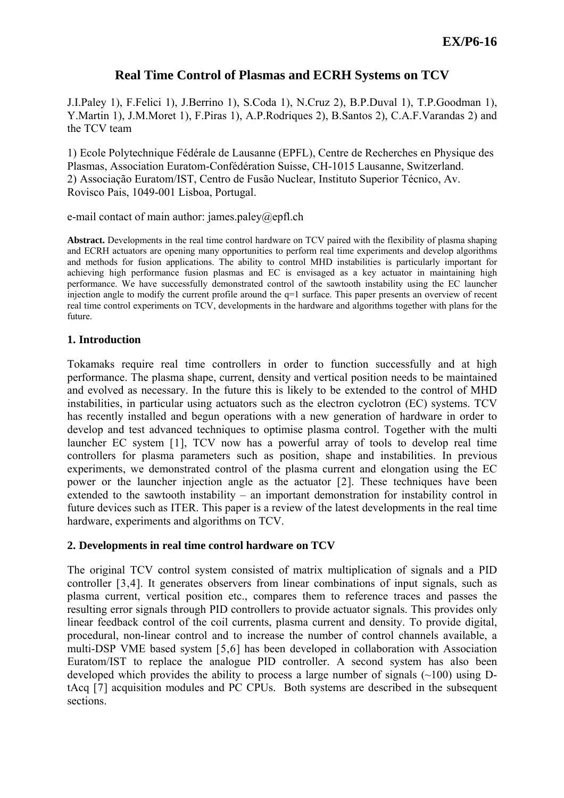# **Real Time Control of Plasmas and ECRH Systems on TCV**

J.I.Paley 1), F.Felici 1), J.Berrino 1), S.Coda 1), N.Cruz 2), B.P.Duval 1), T.P.Goodman 1), Y.Martin 1), J.M.Moret 1), F.Piras 1), A.P.Rodriques 2), B.Santos 2), C.A.F.Varandas 2) and the TCV team

1) Ecole Polytechnique Fédérale de Lausanne (EPFL), Centre de Recherches en Physique des Plasmas, Association Euratom-Confédération Suisse, CH-1015 Lausanne, Switzerland. 2) Associação Euratom/IST, Centro de Fusão Nuclear, Instituto Superior Técnico, Av. Rovisco Pais, 1049-001 Lisboa, Portugal.

e-mail contact of main author: james.paley@epfl.ch

**Abstract.** Developments in the real time control hardware on TCV paired with the flexibility of plasma shaping and ECRH actuators are opening many opportunities to perform real time experiments and develop algorithms and methods for fusion applications. The ability to control MHD instabilities is particularly important for achieving high performance fusion plasmas and EC is envisaged as a key actuator in maintaining high performance. We have successfully demonstrated control of the sawtooth instability using the EC launcher injection angle to modify the current profile around the q=1 surface. This paper presents an overview of recent real time control experiments on TCV, developments in the hardware and algorithms together with plans for the future.

# **1. Introduction**

Tokamaks require real time controllers in order to function successfully and at high performance. The plasma shape, current, density and vertical position needs to be maintained and evolved as necessary. In the future this is likely to be extended to the control of MHD instabilities, in particular using actuators such as the electron cyclotron (EC) systems. TCV has recently installed and begun operations with a new generation of hardware in order to develop and test advanced techniques to optimise plasma control. Together with the multi launcher EC system [[1](#page-7-0)], TCV now has a powerful array of tools to develop real time controllers for plasma parameters such as position, shape and instabilities. In previous experiments, we demonstrated control of the plasma current and elongation using the EC power or the launcher injection angle as the actuator [[2](#page-7-1)]. These techniques have been extended to the sawtooth instability – an important demonstration for instability control in future devices such as ITER. This paper is a review of the latest developments in the real time hardware, experiments and algorithms on TCV.

# <span id="page-0-0"></span>**2. Developments in real time control hardware on TCV**

The original TCV control system consisted of matrix multiplication of signals and a PID controller [[3](#page-7-1),[4](#page-7-1)]. It generates observers from linear combinations of input signals, such as plasma current, vertical position etc., compares them to reference traces and passes the resulting error signals through PID controllers to provide actuator signals. This provides only linear feedback control of the coil currents, plasma current and density. To provide digital, procedural, non-linear control and to increase the number of control channels available, a multi-DSP VME based system [[5](#page-7-1),[6](#page-7-1)] has been developed in collaboration with Association Euratom/IST to replace the analogue PID controller. A second system has also been developed which provides the ability to process a large number of signals  $(\sim 100)$  using DtAcq [[7](#page-7-1)] acquisition modules and PC CPUs. Both systems are described in the subsequent sections.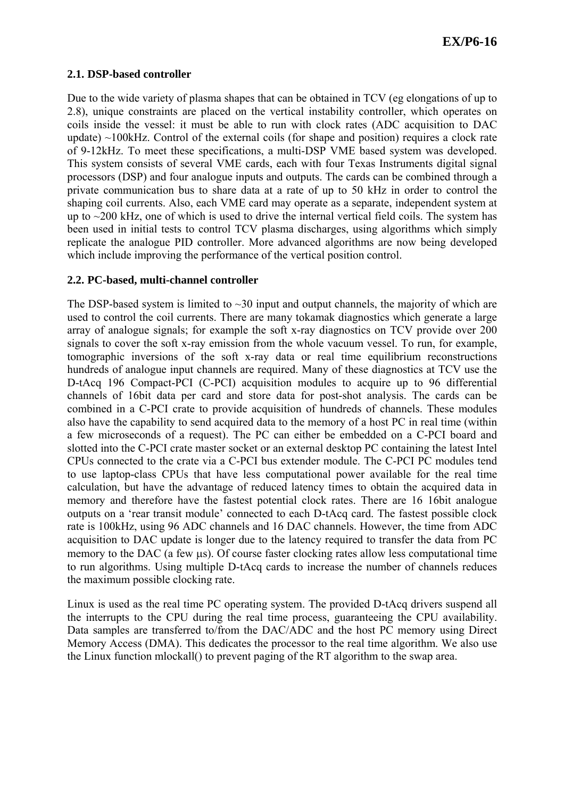### **2.1. DSP-based controller**

Due to the wide variety of plasma shapes that can be obtained in TCV (eg elongations of up to 2.8), unique constraints are placed on the vertical instability controller, which operates on coils inside the vessel: it must be able to run with clock rates (ADC acquisition to DAC update)  $\sim$ 100kHz. Control of the external coils (for shape and position) requires a clock rate of 9-12kHz. To meet these specifications, a multi-DSP VME based system was developed. This system consists of several VME cards, each with four Texas Instruments digital signal processors (DSP) and four analogue inputs and outputs. The cards can be combined through a private communication bus to share data at a rate of up to 50 kHz in order to control the shaping coil currents. Also, each VME card may operate as a separate, independent system at up to  $\sim$ 200 kHz, one of which is used to drive the internal vertical field coils. The system has been used in initial tests to control TCV plasma discharges, using algorithms which simply replicate the analogue PID controller. More advanced algorithms are now being developed which include improving the performance of the vertical position control.

## **2.2. PC-based, multi-channel controller**

The DSP-based system is limited to  $\sim$ 30 input and output channels, the majority of which are used to control the coil currents. There are many tokamak diagnostics which generate a large array of analogue signals; for example the soft x-ray diagnostics on TCV provide over 200 signals to cover the soft x-ray emission from the whole vacuum vessel. To run, for example, tomographic inversions of the soft x-ray data or real time equilibrium reconstructions hundreds of analogue input channels are required. Many of these diagnostics at TCV use the D-tAcq 196 Compact-PCI (C-PCI) acquisition modules to acquire up to 96 differential channels of 16bit data per card and store data for post-shot analysis. The cards can be combined in a C-PCI crate to provide acquisition of hundreds of channels. These modules also have the capability to send acquired data to the memory of a host PC in real time (within a few microseconds of a request). The PC can either be embedded on a C-PCI board and slotted into the C-PCI crate master socket or an external desktop PC containing the latest Intel CPUs connected to the crate via a C-PCI bus extender module. The C-PCI PC modules tend to use laptop-class CPUs that have less computational power available for the real time calculation, but have the advantage of reduced latency times to obtain the acquired data in memory and therefore have the fastest potential clock rates. There are 16 16bit analogue outputs on a 'rear transit module' connected to each D-tAcq card. The fastest possible clock rate is 100kHz, using 96 ADC channels and 16 DAC channels. However, the time from ADC acquisition to DAC update is longer due to the latency required to transfer the data from PC memory to the DAC (a few μs). Of course faster clocking rates allow less computational time to run algorithms. Using multiple D-tAcq cards to increase the number of channels reduces the maximum possible clocking rate.

Linux is used as the real time PC operating system. The provided D-tAcq drivers suspend all the interrupts to the CPU during the real time process, guaranteeing the CPU availability. Data samples are transferred to/from the DAC/ADC and the host PC memory using Direct Memory Access (DMA). This dedicates the processor to the real time algorithm. We also use the Linux function mlockall() to prevent paging of the RT algorithm to the swap area.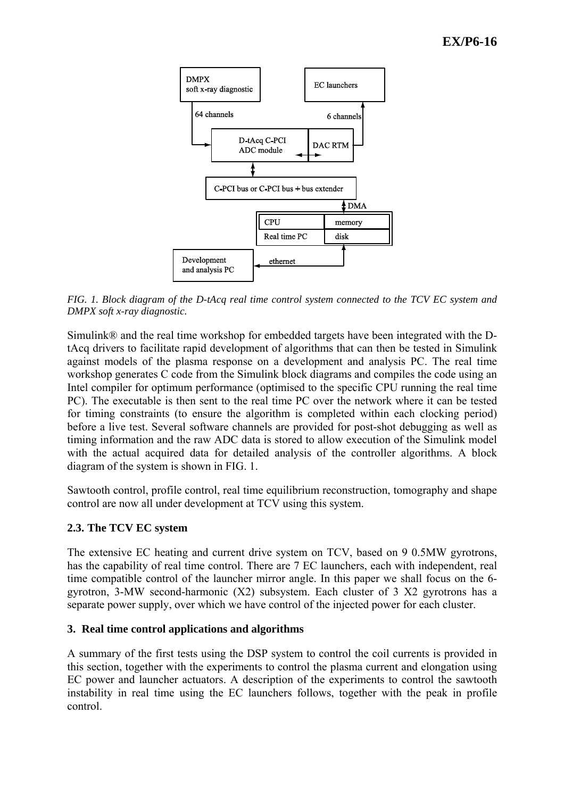

<span id="page-2-0"></span>*FIG. 1. Block diagram of the D-tAcq real time control system connected to the TCV EC system and DMPX soft x-ray diagnostic.* 

Simulink® and the real time workshop for embedded targets have been integrated with the DtAcq drivers to facilitate rapid development of algorithms that can then be tested in Simulink against models of the plasma response on a development and analysis PC. The real time workshop generates C code from the Simulink block diagrams and compiles the code using an Intel compiler for optimum performance (optimised to the specific CPU running the real time PC). The executable is then sent to the real time PC over the network where it can be tested for timing constraints (to ensure the algorithm is completed within each clocking period) before a live test. Several software channels are provided for post-shot debugging as well as timing information and the raw ADC data is stored to allow execution of the Simulink model with the actual acquired data for detailed analysis of the controller algorithms. A block diagram of the system is shown in [FIG. 1](#page-2-0).

Sawtooth control, profile control, real time equilibrium reconstruction, tomography and shape control are now all under development at TCV using this system.

# **2.3. The TCV EC system**

The extensive EC heating and current drive system on TCV, based on 9 0.5MW gyrotrons, has the capability of real time control. There are 7 EC launchers, each with independent, real time compatible control of the launcher mirror angle. In this paper we shall focus on the 6 gyrotron, 3-MW second-harmonic (X2) subsystem. Each cluster of 3 X2 gyrotrons has a separate power supply, over which we have control of the injected power for each cluster.

# **3. Real time control applications and algorithms**

A summary of the first tests using the DSP system to control the coil currents is provided in this section, together with the experiments to control the plasma current and elongation using EC power and launcher actuators. A description of the experiments to control the sawtooth instability in real time using the EC launchers follows, together with the peak in profile control.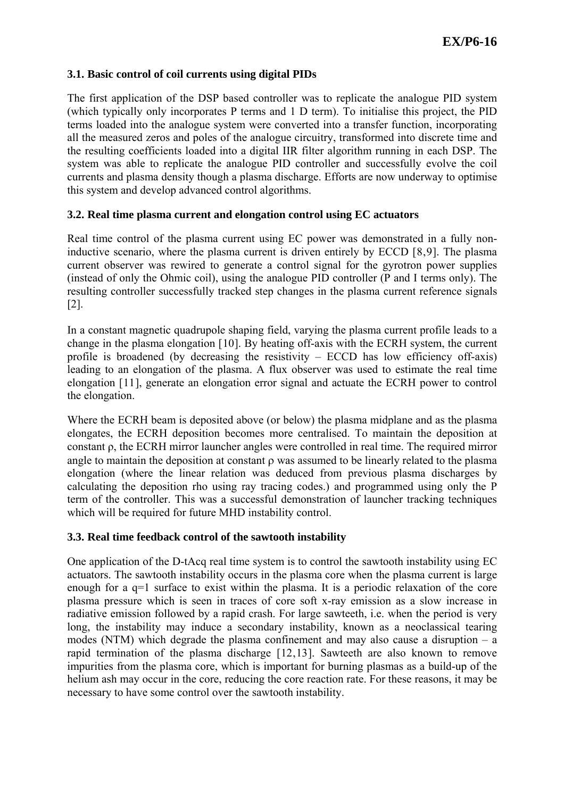## **3.1. Basic control of coil currents using digital PIDs**

The first application of the DSP based controller was to replicate the analogue PID system (which typically only incorporates P terms and 1 D term). To initialise this project, the PID terms loaded into the analogue system were converted into a transfer function, incorporating all the measured zeros and poles of the analogue circuitry, transformed into discrete time and the resulting coefficients loaded into a digital IIR filter algorithm running in each DSP. The system was able to replicate the analogue PID controller and successfully evolve the coil currents and plasma density though a plasma discharge. Efforts are now underway to optimise this system and develop advanced control algorithms.

## **3.2. Real time plasma current and elongation control using EC actuators**

Real time control of the plasma current using EC power was demonstrated in a fully noninductive scenario, where the plasma current is driven entirely by ECCD [[8](#page-7-1),[9](#page-7-1)]. The plasma current observer was rewired to generate a control signal for the gyrotron power supplies (instead of only the Ohmic coil), using the analogue PID controller (P and I terms only). The resulting controller successfully tracked step changes in the plasma current reference signals [[2\]](#page-0-0).

In a constant magnetic quadrupole shaping field, varying the plasma current profile leads to a change in the plasma elongation [[10](#page-7-1)]. By heating off-axis with the ECRH system, the current profile is broadened (by decreasing the resistivity  $-$  ECCD has low efficiency off-axis) leading to an elongation of the plasma. A flux observer was used to estimate the real time elongation [[11](#page-7-1)], generate an elongation error signal and actuate the ECRH power to control the elongation.

Where the ECRH beam is deposited above (or below) the plasma midplane and as the plasma elongates, the ECRH deposition becomes more centralised. To maintain the deposition at constant ρ, the ECRH mirror launcher angles were controlled in real time. The required mirror angle to maintain the deposition at constant ρ was assumed to be linearly related to the plasma elongation (where the linear relation was deduced from previous plasma discharges by calculating the deposition rho using ray tracing codes.) and programmed using only the P term of the controller. This was a successful demonstration of launcher tracking techniques which will be required for future MHD instability control.

#### **3.3. Real time feedback control of the sawtooth instability**

One application of the D-tAcq real time system is to control the sawtooth instability using EC actuators. The sawtooth instability occurs in the plasma core when the plasma current is large enough for a q=1 surface to exist within the plasma. It is a periodic relaxation of the core plasma pressure which is seen in traces of core soft x-ray emission as a slow increase in radiative emission followed by a rapid crash. For large sawteeth, i.e. when the period is very long, the instability may induce a secondary instability, known as a neoclassical tearing modes (NTM) which degrade the plasma confinement and may also cause a disruption  $-\overline{a}$ rapid termination of the plasma discharge [[12](#page-7-1),[13](#page-7-1)]. Sawteeth are also known to remove impurities from the plasma core, which is important for burning plasmas as a build-up of the helium ash may occur in the core, reducing the core reaction rate. For these reasons, it may be necessary to have some control over the sawtooth instability.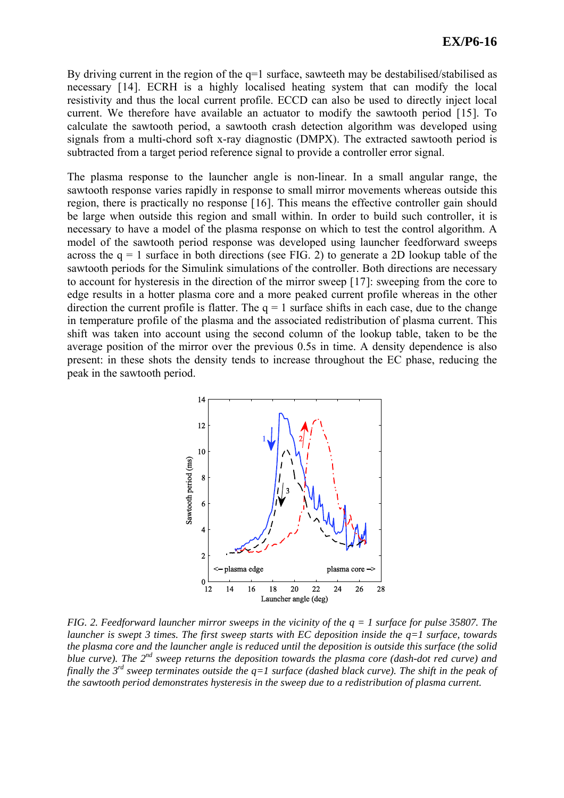By driving current in the region of the q=1 surface, sawteeth may be destabilised/stabilised as necessary [[14](#page-7-1)]. ECRH is a highly localised heating system that can modify the local resistivity and thus the local current profile. ECCD can also be used to directly inject local current. We therefore have available an actuator to modify the sawtooth period [[15](#page-7-1)]. To calculate the sawtooth period, a sawtooth crash detection algorithm was developed using signals from a multi-chord soft x-ray diagnostic (DMPX). The extracted sawtooth period is subtracted from a target period reference signal to provide a controller error signal.

The plasma response to the launcher angle is non-linear. In a small angular range, the sawtooth response varies rapidly in response to small mirror movements whereas outside this region, there is practically no response [[16](#page-7-1)]. This means the effective controller gain should be large when outside this region and small within. In order to build such controller, it is necessary to have a model of the plasma response on which to test the control algorithm. A model of the sawtooth period response was developed using launcher feedforward sweeps across the  $q = 1$  surface in both directions (see [FIG. 2\)](#page-4-0) to generate a 2D lookup table of the sawtooth periods for the Simulink simulations of the controller. Both directions are necessary to account for hysteresis in the direction of the mirror sweep [[17](#page-7-1)]: sweeping from the core to edge results in a hotter plasma core and a more peaked current profile whereas in the other direction the current profile is flatter. The  $q = 1$  surface shifts in each case, due to the change in temperature profile of the plasma and the associated redistribution of plasma current. This shift was taken into account using the second column of the lookup table, taken to be the average position of the mirror over the previous 0.5s in time. A density dependence is also present: in these shots the density tends to increase throughout the EC phase, reducing the peak in the sawtooth period.



<span id="page-4-0"></span>*FIG. 2. Feedforward launcher mirror sweeps in the vicinity of the q = 1 surface for pulse 35807. The launcher is swept 3 times. The first sweep starts with EC deposition inside the q=1 surface, towards the plasma core and the launcher angle is reduced until the deposition is outside this surface (the solid blue curve). The 2nd sweep returns the deposition towards the plasma core (dash-dot red curve) and finally the 3rd sweep terminates outside the q=1 surface (dashed black curve). The shift in the peak of the sawtooth period demonstrates hysteresis in the sweep due to a redistribution of plasma current.*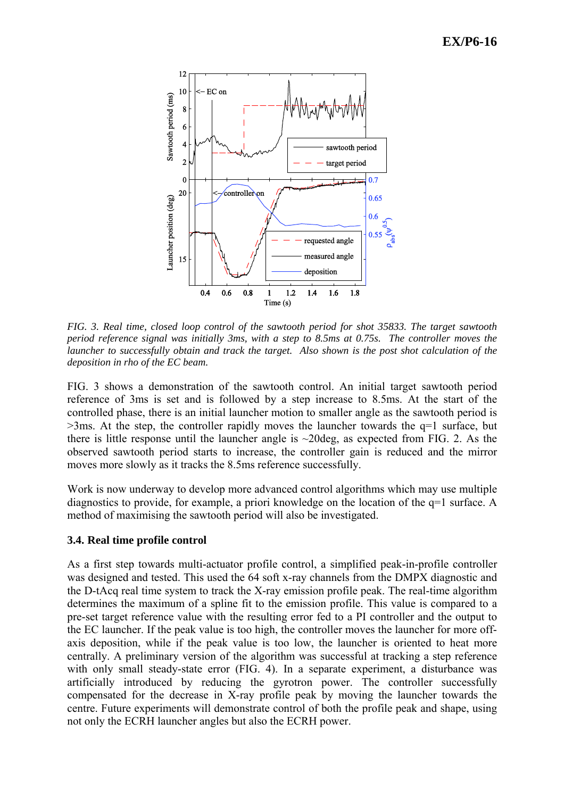

<span id="page-5-0"></span>*FIG. 3. Real time, closed loop control of the sawtooth period for shot 35833. The target sawtooth period reference signal was initially 3ms, with a step to 8.5ms at 0.75s. The controller moves the launcher to successfully obtain and track the target. Also shown is the post shot calculation of the deposition in rho of the EC beam.*

[FIG. 3](#page-5-0) shows a demonstration of the sawtooth control. An initial target sawtooth period reference of 3ms is set and is followed by a step increase to 8.5ms. At the start of the controlled phase, there is an initial launcher motion to smaller angle as the sawtooth period is  $>3$ ms. At the step, the controller rapidly moves the launcher towards the  $q=1$  surface, but there is little response until the launcher angle is ~20deg, as expected from [FIG. 2](#page-4-0). As the observed sawtooth period starts to increase, the controller gain is reduced and the mirror moves more slowly as it tracks the 8.5ms reference successfully.

Work is now underway to develop more advanced control algorithms which may use multiple diagnostics to provide, for example, a priori knowledge on the location of the q=1 surface. A method of maximising the sawtooth period will also be investigated.

#### **3.4. Real time profile control**

As a first step towards multi-actuator profile control, a simplified peak-in-profile controller was designed and tested. This used the 64 soft x-ray channels from the DMPX diagnostic and the D-tAcq real time system to track the X-ray emission profile peak. The real-time algorithm determines the maximum of a spline fit to the emission profile. This value is compared to a pre-set target reference value with the resulting error fed to a PI controller and the output to the EC launcher. If the peak value is too high, the controller moves the launcher for more offaxis deposition, while if the peak value is too low, the launcher is oriented to heat more centrally. A preliminary version of the algorithm was successful at tracking a step reference with only small steady-state error [\(FIG. 4](#page-6-0)). In a separate experiment, a disturbance was artificially introduced by reducing the gyrotron power. The controller successfully compensated for the decrease in X-ray profile peak by moving the launcher towards the centre. Future experiments will demonstrate control of both the profile peak and shape, using not only the ECRH launcher angles but also the ECRH power.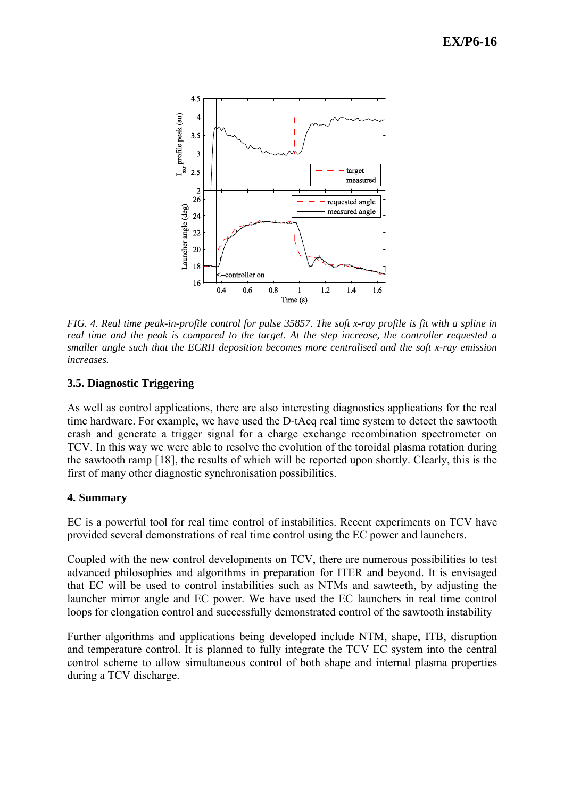

<span id="page-6-0"></span>*FIG. 4. Real time peak-in-profile control for pulse 35857. The soft x-ray profile is fit with a spline in real time and the peak is compared to the target. At the step increase, the controller requested a smaller angle such that the ECRH deposition becomes more centralised and the soft x-ray emission increases.* 

# **3.5. Diagnostic Triggering**

As well as control applications, there are also interesting diagnostics applications for the real time hardware. For example, we have used the D-tAcq real time system to detect the sawtooth crash and generate a trigger signal for a charge exchange recombination spectrometer on TCV. In this way we were able to resolve the evolution of the toroidal plasma rotation during the sawtooth ramp [[18](#page-7-1)], the results of which will be reported upon shortly. Clearly, this is the first of many other diagnostic synchronisation possibilities.

# **4. Summary**

EC is a powerful tool for real time control of instabilities. Recent experiments on TCV have provided several demonstrations of real time control using the EC power and launchers.

Coupled with the new control developments on TCV, there are numerous possibilities to test advanced philosophies and algorithms in preparation for ITER and beyond. It is envisaged that EC will be used to control instabilities such as NTMs and sawteeth, by adjusting the launcher mirror angle and EC power. We have used the EC launchers in real time control loops for elongation control and successfully demonstrated control of the sawtooth instability

Further algorithms and applications being developed include NTM, shape, ITB, disruption and temperature control. It is planned to fully integrate the TCV EC system into the central control scheme to allow simultaneous control of both shape and internal plasma properties during a TCV discharge.